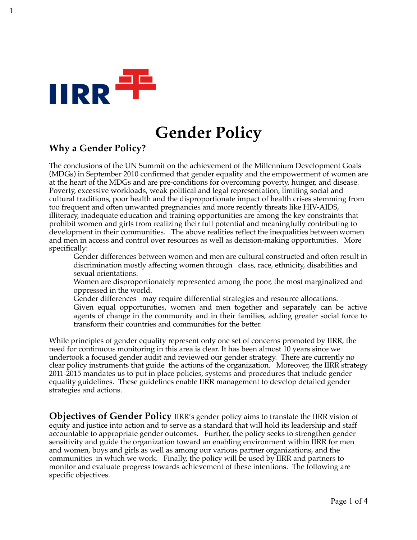

# **Gender Policy**

# **Why a Gender Policy?**

The conclusions of the UN Summit on the achievement of the Millennium Development Goals (MDGs) in September 2010 confirmed that gender equality and the empowerment of women are at the heart of the MDGs and are pre-conditions for overcoming poverty, hunger, and disease. Poverty, excessive workloads, weak political and legal representation, limiting social and cultural traditions, poor health and the disproportionate impact of health crises stemming from too frequent and often unwanted pregnancies and more recently threats like HIV-AIDS, illiteracy, inadequate education and training opportunities are among the key constraints that prohibit women and girls from realizing their full potential and meaningfully contributing to development in their communities. The above realities reflect the inequalities between women and men in access and control over resources as well as decision-making opportunities. More specifically:

Gender differences between women and men are cultural constructed and often result in discrimination mostly affecting women through class, race, ethnicity, disabilities and sexual orientations.

- Women are disproportionately represented among the poor, the most marginalized and oppressed in the world.
- Gender differences may require differential strategies and resource allocations. Given equal opportunities, women and men together and separately can be active agents of change in the community and in their families, adding greater social force to transform their countries and communities for the better.

While principles of gender equality represent only one set of concerns promoted by IIRR, the need for continuous monitoring in this area is clear. It has been almost 10 years since we undertook a focused gender audit and reviewed our gender strategy. There are currently no clear policy instruments that guide the actions of the organization. Moreover, the IIRR strategy 2011-2015 mandates us to put in place policies, systems and procedures that include gender equality guidelines. These guidelines enable IIRR management to develop detailed gender strategies and actions.

**Objectives of Gender Policy IIRR's gender policy aims to translate the IIRR vision of** equity and justice into action and to serve as a standard that will hold its leadership and staff accountable to appropriate gender outcomes. Further, the policy seeks to strengthen gender sensitivity and guide the organization toward an enabling environment within IIRR for men and women, boys and girls as well as among our various partner organizations, and the communities in which we work. Finally, the policy will be used by IIRR and partners to monitor and evaluate progress towards achievement of these intentions. The following are specific objectives.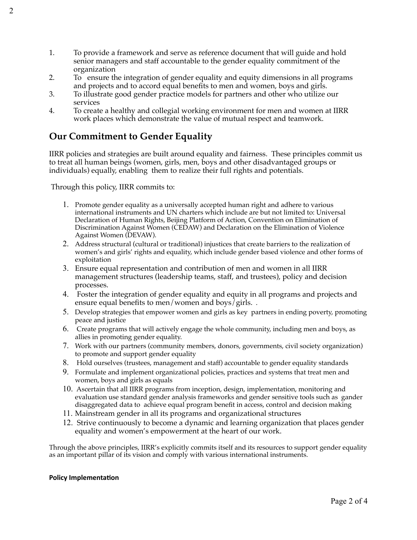- 1. To provide a framework and serve as reference document that will guide and hold senior managers and staff accountable to the gender equality commitment of the organization
- 2. To ensure the integration of gender equality and equity dimensions in all programs and projects and to accord equal benefits to men and women, boys and girls.
- 3. To illustrate good gender practice models for partners and other who utilize our services
- 4. To create a healthy and collegial working environment for men and women at IIRR work places which demonstrate the value of mutual respect and teamwork.

# **Our Commitment to Gender Equality**

IIRR policies and strategies are built around equality and fairness. These principles commit us to treat all human beings (women, girls, men, boys and other disadvantaged groups or individuals) equally, enabling them to realize their full rights and potentials.

Through this policy, IIRR commits to:

- 1. Promote gender equality as a universally accepted human right and adhere to various international instruments and UN charters which include are but not limited to: Universal Declaration of Human Rights, Beijing Platform of Action, Convention on Elimination of Discrimination Against Women (CEDAW) and Declaration on the Elimination of Violence Against Women (DEVAW).
- 2. Address structural (cultural or traditional) injustices that create barriers to the realization of women's and girls' rights and equality, which include gender based violence and other forms of exploitation
- 3. Ensure equal representation and contribution of men and women in all IIRR management structures (leadership teams, staff, and trustees), policy and decision processes.
- 4. Foster the integration of gender equality and equity in all programs and projects and ensure equal benefits to men/women and boys/girls. .
- 5. Develop strategies that empower women and girls as key partners in ending poverty, promoting peace and justice
- 6. Create programs that will actively engage the whole community, including men and boys, as allies in promoting gender equality.
- 7. Work with our partners (community members, donors, governments, civil society organization) to promote and support gender equality
- 8. Hold ourselves (trustees, management and staff) accountable to gender equality standards
- 9. Formulate and implement organizational policies, practices and systems that treat men and women, boys and girls as equals
- 10. Ascertain that all IIRR programs from inception, design, implementation, monitoring and evaluation use standard gender analysis frameworks and gender sensitive tools such as gander disaggregated data to achieve equal program benefit in access, control and decision making
- 11. Mainstream gender in all its programs and organizational structures
- 12. Strive continuously to become a dynamic and learning organization that places gender equality and women's empowerment at the heart of our work.

Through the above principles, IIRR's explicitly commits itself and its resources to support gender equality as an important pillar of its vision and comply with various international instruments.

#### **Policy Implementation**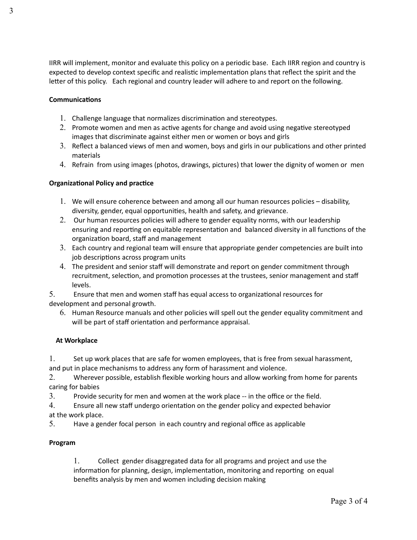IIRR will implement, monitor and evaluate this policy on a periodic base. Each IIRR region and country is expected to develop context specific and realistic implementation plans that reflect the spirit and the letter of this policy. Each regional and country leader will adhere to and report on the following.

#### **Communications**

- 1. Challenge language that normalizes discrimination and stereotypes.
- 2. Promote women and men as active agents for change and avoid using negative stereotyped images that discriminate against either men or women or boys and girls
- 3. Reflect a balanced views of men and women, boys and girls in our publications and other printed materials
- 4. Refrain from using images (photos, drawings, pictures) that lower the dignity of women or men

#### **Organizational Policy and practice**

- 1. We will ensure coherence between and among all our human resources policies disability, diversity, gender, equal opportunities, health and safety, and grievance.
- 2. Our human resources policies will adhere to gender equality norms, with our leadership ensuring and reporting on equitable representation and balanced diversity in all functions of the organization board, staff and management
- 3. Each country and regional team will ensure that appropriate gender competencies are built into job descriptions across program units
- 4. The president and senior staff will demonstrate and report on gender commitment through recruitment, selection, and promotion processes at the trustees, senior management and staff levels.

5. Ensure that men and women staff has equal access to organizational resources for development and personal growth.

6. Human Resource manuals and other policies will spell out the gender equality commitment and will be part of staff orientation and performance appraisal.

#### **At Workplace**

1. Set up work places that are safe for women employees, that is free from sexual harassment,

and put in place mechanisms to address any form of harassment and violence.

2. Wherever possible, establish flexible working hours and allow working from home for parents caring for babies

3. Provide security for men and women at the work place -- in the office or the field.

4. Ensure all new staff undergo orientation on the gender policy and expected behavior at the work place.

5. Have a gender focal person in each country and regional office as applicable

## **Program**

1. Collect gender disaggregated data for all programs and project and use the information for planning, design, implementation, monitoring and reporting on equal benefits analysis by men and women including decision making